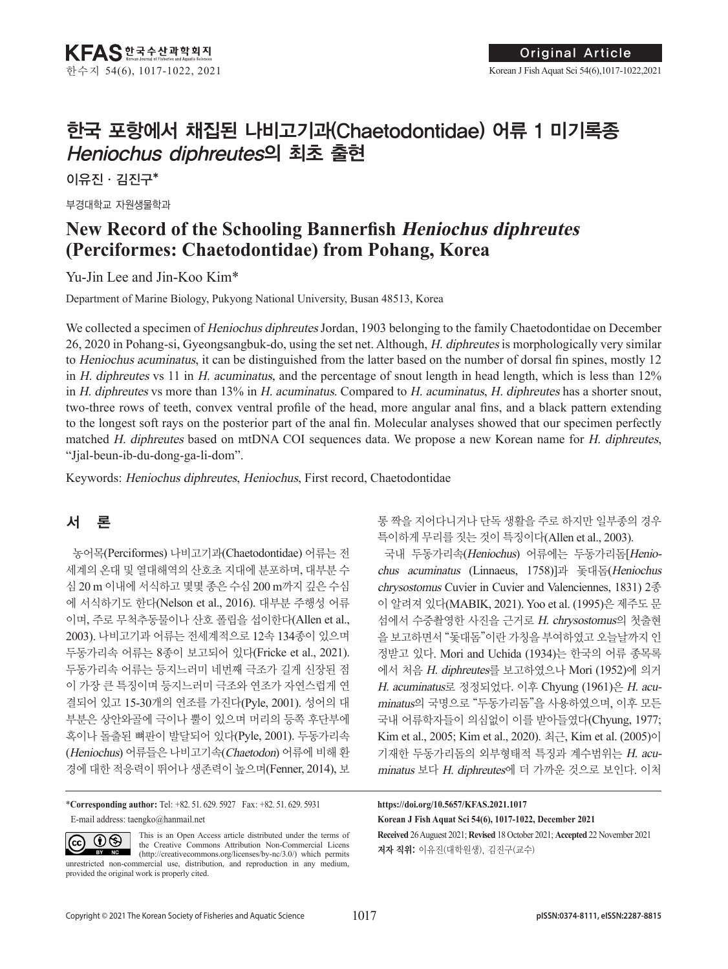# 한국 포항에서 채집된 나비고기과(Chaetodontidae) 어류 1 미기록종 Heniochus diphreutes의 최초 출현

이유진·김진구\*

부경대학교 자원생물학과

## **New Record of the Schooling Bannerfish Heniochus diphreutes (Perciformes: Chaetodontidae) from Pohang, Korea**

Yu-Jin Lee and Jin-Koo Kim\*

Department of Marine Biology, Pukyong National University, Busan 48513, Korea

We collected a specimen of *Heniochus diphreutes* Jordan, 1903 belonging to the family Chaetodontidae on December 26, 2020 in Pohang-si, Gyeongsangbuk-do, using the set net. Although, H. diphreutes is morphologically very similar to Heniochus acuminatus, it can be distinguished from the latter based on the number of dorsal fin spines, mostly 12 in H. diphreutes vs 11 in H. acuminatus, and the percentage of snout length in head length, which is less than 12% in H. diphreutes vs more than  $13\%$  in H. acuminatus. Compared to H. acuminatus, H. diphreutes has a shorter snout, two-three rows of teeth, convex ventral profile of the head, more angular anal fins, and a black pattern extending to the longest soft rays on the posterior part of the anal fin. Molecular analyses showed that our specimen perfectly matched H. diphreutes based on mtDNA COI sequences data. We propose a new Korean name for H. diphreutes, "Jjal-beun-ib-du-dong-ga-li-dom".

Keywords: Heniochus diphreutes, Heniochus, First record, Chaetodontidae

## 서 론

 $(cc)$ 

농어목(Perciformes) 나비고기과(Chaetodontidae) 어류는 전 세계의 온대 및 열대해역의 산호초 지대에 분포하며, 대부분 수 심 20 m 이내에 서식하고 몇몇 종은 수심 200 m까지 깊은 수심 에 서식하기도 한다(Nelson et al., 2016). 대부분 주행성 어류 이며, 주로 무척추동물이나 산호 폴립을 섭이한다(Allen et al., 2003). 나비고기과 어류는 전세계적으로 12속 134종이 있으며 두동가리속 어류는 8종이 보고되어 있다(Fricke et al., 2021). 두동가리속 어류는 등지느러미 네번째 극조가 길게 신장된 점 이 가장 큰 특징이며 등지느러미 극조와 연조가 자연스럽게 연 결되어 있고 15-30개의 연조를 가진다(Pyle, 2001). 성어의 대 부분은 상안와골에 극이나 뿔이 있으며 머리의 등쪽 후단부에 혹이나 돌출된 뼈판이 발달되어 있다(Pyle, 2001). 두동가리속 (Heniochus) 어류들은 나비고기속(Chaetodon) 어류에 비해 환 경에 대한 적응력이 뛰어나 생존력이 높으며(Fenner, 2014), 보

\***Corresponding author:** Tel: +82. 51. 629. 5927 Fax: +82. 51. 629. 5931 E-mail address: taengko@hanmail.net

This is an Open Access article distributed under the terms of  $\odot$ the Creative Commons Attribution Non-Commercial Licens BY NC (http://creativecommons.org/licenses/by-nc/3.0/) which permits unrestricted non-commercial use, distribution, and reproduction in any medium, provided the original work is properly cited.

통 짝을 지어다니거나 단독 생활을 주로 하지만 일부종의 경우 특이하게 무리를 짓는 것이 특징이다(Allen et al., 2003).

국내 두동가리속(Heniochus) 어류에는 두동가리돔[Heniochus acuminatus (Linnaeus, 1758)]과 돛대돔(Heniochus chrysostomus Cuvier in Cuvier and Valenciennes, 1831) 2종 이 알려져 있다(MABIK, 2021). Yoo et al. (1995)은 제주도 문 섬에서 수중촬영한 사진을 근거로 H. chrysostomus의 첫출현 을 보고하면서 "돛대돔"이란 가칭을 부여하였고 오늘날까지 인 정받고 있다. Mori and Uchida (1934)는 한국의 어류 종목록 에서 처음 H. diphreutes를 보고하였으나 Mori (1952)에 의거 H. acuminatus로 정정되었다. 이후 Chyung (1961)은 H. acuminatus의 국명으로 "두동가리돔"을 사용하였으며, 이후 모든 국내 어류학자들이 의심없이 이를 받아들였다(Chyung, 1977; Kim et al., 2005; Kim et al., 2020). 최근, Kim et al. (2005)이 기재한 두동가리돔의 외부형태적 특징과 계수범위는 H. acuminatus 보다 H. diphreutes에 더 가까운 것으로 보인다. 이처

**Received** 26 Auguest 2021; **Revised** 18 October 2021; **Accepted** 22 November 2021 저자 직위: 이유진(대학원생), 김진구(교수) **https://doi.org/10.5657/KFAS.2021.1017 Korean J Fish Aquat Sci 54(6), 1017-1022, December 2021**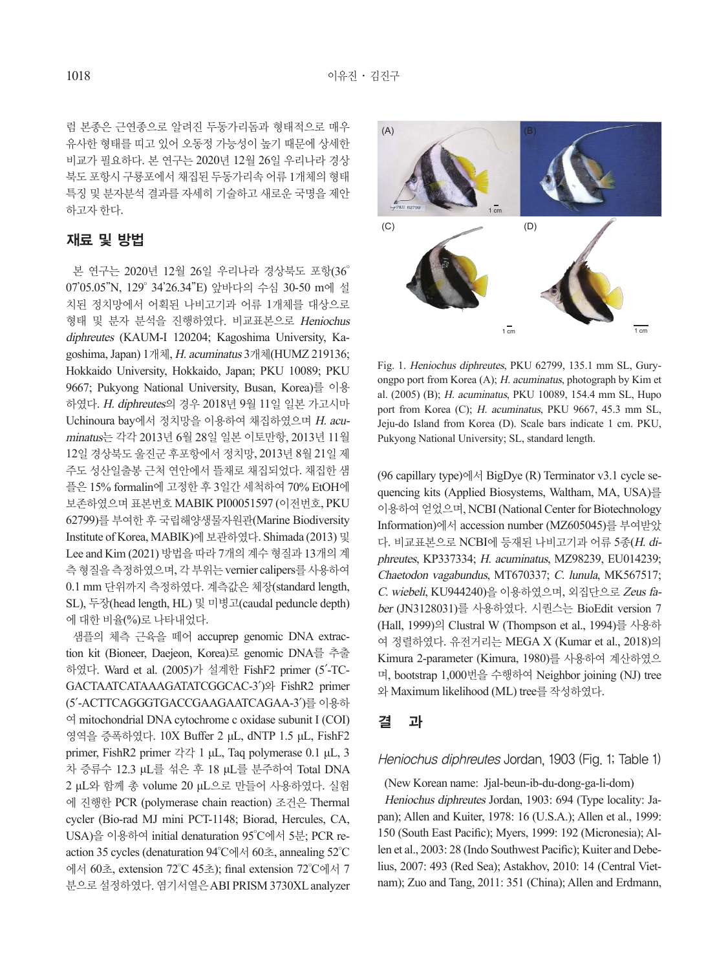럼 본종은 근연종으로 알려진 두동가리돔과 형태적으로 매우 유사한 형태를 띠고 있어 오동정 가능성이 높기 때문에 상세한 비교가 필요하다. 본 연구는 2020년 12월 26일 우리나라 경상 북도 포항시 구룡포에서 채집된 두동가리속 어류 1개체의 형태 특징 및 분자분석 결과를 자세히 기술하고 새로운 국명을 제안 하고자 한다.

## 재료 및 방법

본 연구는 2020년 12월 26일 우리나라 경상북도 포항(36° 07'05.05"N, 129° 34'26.34"E) 앞바다의 수심 30-50 m에 설 치된 정치망에서 어획된 나비고기과 어류 1개체를 대상으로 형태 및 분자 분석을 진행하였다. 비교표본으로 Heniochus diphreutes (KAUM-I 120204; Kagoshima University, Kagoshima, Japan) 1개체, H. acuminatus 3개체(HUMZ 219136; Hokkaido University, Hokkaido, Japan; PKU 10089; PKU 9667; Pukyong National University, Busan, Korea)를 이용 하였다. H. diphreutes의 경우 2018년 9월 11일 일본 가고시마 Uchinoura bay에서 정치망을 이용하여 채집하였으며 H. acuminatus는 각각 2013년 6월 28일 일본 이토만항, 2013년 11월 12일 경상북도 울진군 후포항에서 정치망, 2013년 8월 21일 제 주도 성산일출봉 근처 연안에서 뜰채로 채집되었다. 채집한 샘 플은 15% formalin에 고정한 후 3일간 세척하여 70% EtOH에 보존하였으며 표본번호 MABIK PI00051597 (이전번호, PKU 62799)를 부여한 후 국립해양생물자원관(Marine Biodiversity Institute of Korea, MABIK)에 보관하였다. Shimada (2013) 및 Lee and Kim (2021) 방법을 따라 7개의 계수 형질과 13개의 계 측 형질을 측정하였으며, 각 부위는 vernier calipers를 사용하여 0.1 mm 단위까지 측정하였다. 계측값은 체장(standard length, SL), 두장(head length, HL) 및 미병고(caudal peduncle depth) 에 대한 비율(%)로 나타내었다.

샘플의 체측 근육을 떼어 accuprep genomic DNA extraction kit (Bioneer, Daejeon, Korea)로 genomic DNA를 추출 하였다. Ward et al. (2005)가 설계한 FishF2 primer (5′-TC-GACTAATCATAAAGATATCGGCAC-3′)와 FishR2 primer (5′-ACTTCAGGGTGACCGAAGAATCAGAA-3′)를 이용하 여 mitochondrial DNA cytochrome c oxidase subunit I (COI) 영역을 증폭하였다. 10X Buffer 2 μL, dNTP 1.5 μL, FishF2 primer, FishR2 primer 각각 1 μL, Taq polymerase 0.1 μL, 3 차 증류수 12.3 μL를 섞은 후 18 μL를 분주하여 Total DNA 2 μL와 함께 총 volume 20 μL으로 만들어 사용하였다. 실험 에 진행한 PCR (polymerase chain reaction) 조건은 Thermal cycler (Bio-rad MJ mini PCT-1148; Biorad, Hercules, CA, USA)을 이용하여 initial denaturation 95°C에서 5분; PCR reaction 35 cycles (denaturation 94°C에서 60초, annealing 52°C 에서 60초, extension 72°C 45초); final extension 72°C에서 7 분으로 설정하였다. 염기서열은 ABI PRISM 3730XL analyzer



Fig. 1. Heniochus diphreutes, PKU 62799, 135.1 mm SL, Guryongpo port from Korea (A); H. acuminatus, photograph by Kim et al. (2005) (B); H. acuminatus, PKU 10089, 154.4 mm SL, Hupo port from Korea (C); H. acuminatus, PKU 9667, 45.3 mm SL, Jeju-do Island from Korea (D). Scale bars indicate 1 cm. PKU, Pukyong National University; SL, standard length.

(96 capillary type)에서 BigDye (R) Terminator v3.1 cycle sequencing kits (Applied Biosystems, Waltham, MA, USA)를 이용하여 얻었으며, NCBI (National Center for Biotechnology Information)에서 accession number (MZ605045)를 부여받았 다. 비교표본으로 NCBI에 등재된 나비고기과 어류 5종(H. diphreutes, KP337334; H. acuminatus, MZ98239, EU014239; Chaetodon vagabundus, MT670337; C. lunula, MK567517; <sup>C</sup>. wiebeli, KU944240)을 이용하였으며, 외집단으로 Zeus fa-*Heniochus acuminatus* (MZ798239)PKU 10089 ber (JN3128031)를 사용하였다. 시퀀스는 BioEdit version 7 (Hall, 1999)의 Clustral W (Thompson et al., 1994)를 사용하 *Heniochus diphreutes* (KP337334) 여 정렬하였다. 유전거리는 MEGA X (Kumar et al., 2018)의 Kimura 2-parameter (Kimura, 1980)를 사용하여 계산하였으 며, bootstrap 1,000번을 수행하여 Neighbor joining (NJ) tree 와 Maximum likelihood (ML) tree를 작성하였다.

## 결 과

### Heniochus diphreutes Jordan, 1903 (Fig. 1; Table 1)

(New Korean name: Jjal-beun-ib-du-dong-ga-li-dom) Heniochus diphreutes Jordan, 1903: 694 (Type locality: Japan); Allen and Kuiter, 1978: 16 (U.S.A.); Allen et al., 1999: 150 (South East Pacific); Myers, 1999: 192 (Micronesia); Allen et al., 2003: 28 (Indo Southwest Pacific); Kuiter and Debelius, 2007: 493 (Red Sea); Astakhov, 2010: 14 (Central Vietnam); Zuo and Tang, 2011: 351 (China); Allen and Erdmann,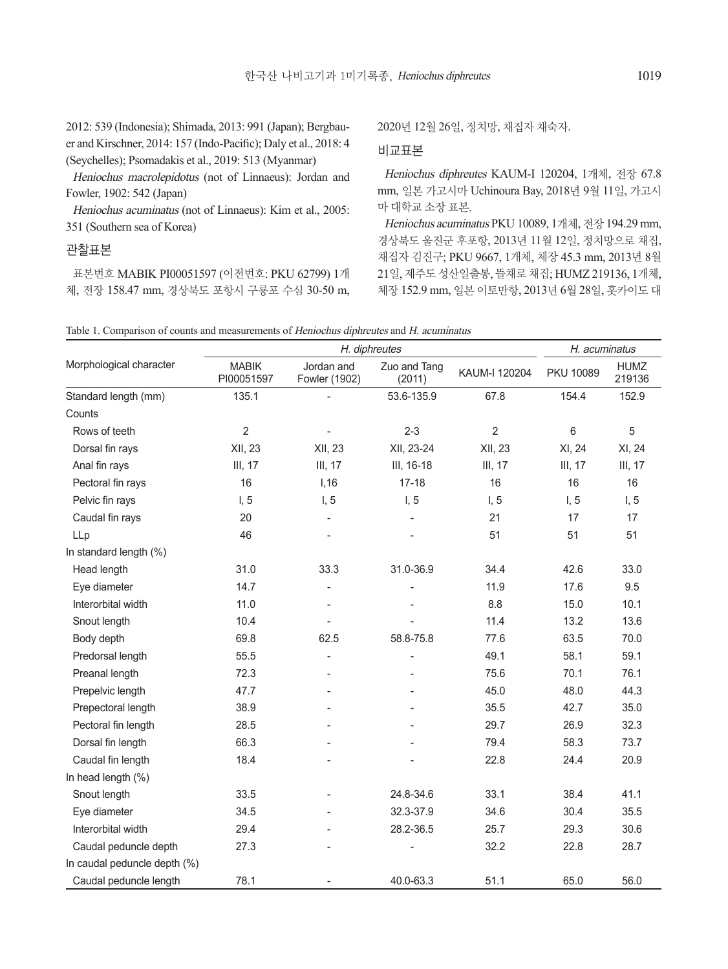2012: 539 (Indonesia); Shimada, 2013: 991 (Japan); Bergbauer and Kirschner, 2014: 157 (Indo-Pacific); Daly et al., 2018: 4 (Seychelles); Psomadakis et al., 2019: 513 (Myanmar)

Heniochus macrolepidotus (not of Linnaeus): Jordan and Fowler, 1902: 542 (Japan)

Heniochus acuminatus (not of Linnaeus): Kim et al., 2005: 351 (Southern sea of Korea)

## 관찰표본

표본번호 MABIK PI00051597 (이전번호: PKU 62799) 1개 체, 전장 158.47 mm, 경상북도 포항시 구룡포 수심 30-50 m, 2020년 12월 26일, 정치망, 채집자 채숙자.

## 비교표본

Heniochus diphreutes KAUM-I 120204, 1개체, 전장 67.8 mm, 일본 가고시마 Uchinoura Bay, 2018년 9월 11일, 가고시 마 대학교 소장 표본.

Heniochus acuminatus PKU 10089, 1개체, 전장 194.29 mm, 경상북도 울진군 후포항, 2013년 11월 12일, 정치망으로 채집, 채집자 김진구; PKU 9667, 1개체, 체장 45.3 mm, 2013년 8월 21일, 제주도 성산일출봉, 뜰채로 채집; HUMZ 219136, 1개체, 체장 152.9 mm, 일본 이토만항, 2013년 6월 28일, 홋카이도 대

| Morphological character      | H. diphreutes              |                             |                          |                | H. acuminatus    |                       |
|------------------------------|----------------------------|-----------------------------|--------------------------|----------------|------------------|-----------------------|
|                              | <b>MABIK</b><br>PI00051597 | Jordan and<br>Fowler (1902) | Zuo and Tang<br>(2011)   | KAUM-I 120204  | <b>PKU 10089</b> | <b>HUMZ</b><br>219136 |
| Standard length (mm)         | 135.1                      | $\overline{a}$              | 53.6-135.9               | 67.8           | 154.4            | 152.9                 |
| Counts                       |                            |                             |                          |                |                  |                       |
| Rows of teeth                | $\overline{2}$             |                             | $2 - 3$                  | $\overline{2}$ | 6                | 5                     |
| Dorsal fin rays              | XII, 23                    | XII, 23                     | XII, 23-24               | XII, 23        | XI, 24           | XI, 24                |
| Anal fin rays                | III, 17                    | <b>III, 17</b>              | III, 16-18               | III, 17        | III, 17          | III, 17               |
| Pectoral fin rays            | 16                         | I, 16                       | $17 - 18$                | 16             | 16               | 16                    |
| Pelvic fin rays              | I, 5                       | I, 5                        | I, 5                     | I, 5           | I, 5             | I, 5                  |
| Caudal fin rays              | 20                         | $\overline{\phantom{a}}$    | $\overline{\phantom{0}}$ | 21             | 17               | 17                    |
| LLp                          | 46                         |                             |                          | 51             | 51               | 51                    |
| In standard length (%)       |                            |                             |                          |                |                  |                       |
| Head length                  | 31.0                       | 33.3                        | 31.0-36.9                | 34.4           | 42.6             | 33.0                  |
| Eye diameter                 | 14.7                       | ÷                           |                          | 11.9           | 17.6             | 9.5                   |
| Interorbital width           | 11.0                       | $\overline{\phantom{a}}$    |                          | 8.8            | 15.0             | 10.1                  |
| Snout length                 | 10.4                       | $\overline{a}$              |                          | 11.4           | 13.2             | 13.6                  |
| Body depth                   | 69.8                       | 62.5                        | 58.8-75.8                | 77.6           | 63.5             | 70.0                  |
| Predorsal length             | 55.5                       | $\overline{a}$              |                          | 49.1           | 58.1             | 59.1                  |
| Preanal length               | 72.3                       | ÷                           |                          | 75.6           | 70.1             | 76.1                  |
| Prepelvic length             | 47.7                       |                             |                          | 45.0           | 48.0             | 44.3                  |
| Prepectoral length           | 38.9                       |                             |                          | 35.5           | 42.7             | 35.0                  |
| Pectoral fin length          | 28.5                       |                             |                          | 29.7           | 26.9             | 32.3                  |
| Dorsal fin length            | 66.3                       |                             |                          | 79.4           | 58.3             | 73.7                  |
| Caudal fin length            | 18.4                       |                             |                          | 22.8           | 24.4             | 20.9                  |
| In head length (%)           |                            |                             |                          |                |                  |                       |
| Snout length                 | 33.5                       |                             | 24.8-34.6                | 33.1           | 38.4             | 41.1                  |
| Eye diameter                 | 34.5                       |                             | 32.3-37.9                | 34.6           | 30.4             | 35.5                  |
| Interorbital width           | 29.4                       |                             | 28.2-36.5                | 25.7           | 29.3             | 30.6                  |
| Caudal peduncle depth        | 27.3                       |                             |                          | 32.2           | 22.8             | 28.7                  |
| In caudal peduncle depth (%) |                            |                             |                          |                |                  |                       |
| Caudal peduncle length       | 78.1                       |                             | 40.0-63.3                | 51.1           | 65.0             | 56.0                  |

Table 1. Comparison of counts and measurements of Heniochus diphreutes and H. acuminatus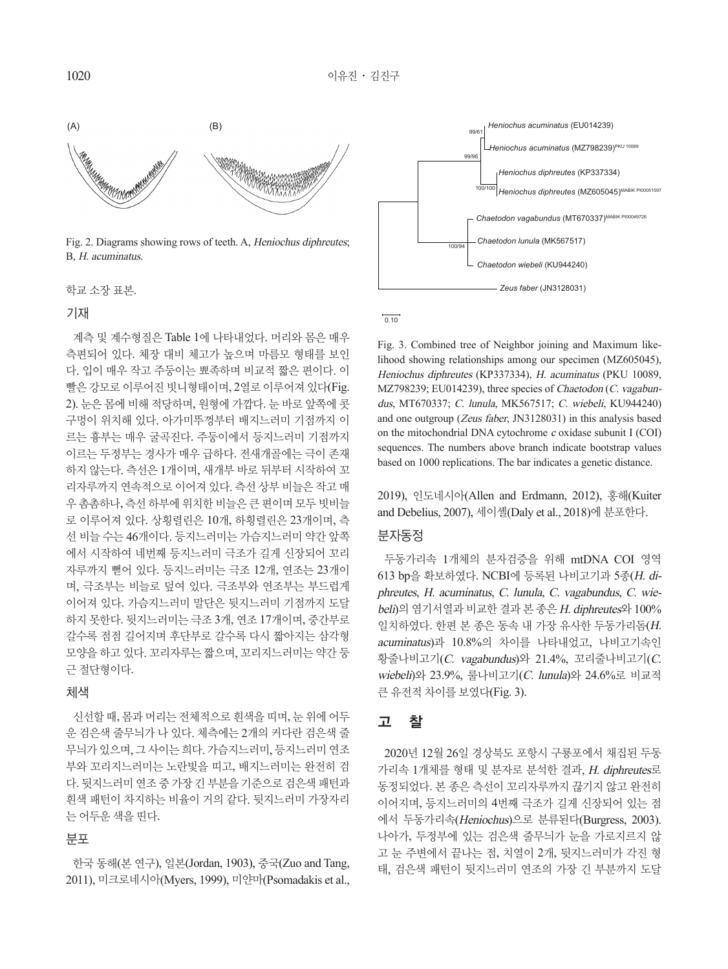

Fig. 2. Diagrams showing rows of teeth. A, Heniochus diphreutes; B, H. acuminatus.

학교 소장 표본.

#### 기재

계측 및 계수형질은 Table 1에 나타내었다. 머리와 몸은 매우 측편되어 있다. 체장 대비 체고가 높으며 마름모 형태를 보인 *Heniochus diphreutes* (KP337334) 다. 입이 매우 작고 주둥이는 뾰족하며 비교적 짧은 편이다. <mark>이</mark> 빨은 강모로 이루어진 빗니형태이며, 2열로 이루어져 있다(Fig. 2). 눈은 몸에 비해 적당하며, 원형에 가깝다. 눈 바로 앞쪽에 콧 구멍이 위치해 있다. 아가미뚜껑부터 배지느러미 기점까지 <mark>이</mark> 르는 흉부는 매우 굴곡진다. 주둥이에서 등지느러미 기점까지 이르는 두정부는 경사가 매우 급하다. 전새개골에는 극이 존재 하지 않는다. 측선은 1개이며, 새개부 바로 뒤부터 시작하여 꼬 *Zeus faber* (JN3128031) 리자루까지 연속적으로 이어져 있다. 측선 상부 비늘은 작고 매 우 촘촘하나, 측선 하부에 위치한 비늘은 큰 편이며 모두 빗비늘 로 이루어져 있다. 상횡렬린은 10개, 하횡렬린은 23개이며, 측 선 비늘 수는 46개이다. 등지느러미는 가슴지느러미 약간 앞쪽 에서 시작하여 네번째 등지느러미 극조가 길게 신장되어 꼬리 자루까지 뻗어 있다. 등지느러미는 극조 12개, 연조는 23개이 며, 극조부는 비늘로 덮여 있다. 극조부와 연조부는 부드럽게 이어져 있다. 가슴지느러미 말단은 뒷지느러미 기점까지 도달 하지 못한다. 뒷지느러미는 극조 3개, 연조 17개이며, 중간부로 갈수록 점점 길어지며 후단부로 갈수록 다시 짧아지는 삼각형 모양을 하고 있다. 꼬리자루는 짧으며, 꼬리지느러미는 약간 둥 근 절단형이다.

### 체색

신선할 때, 몸과 머리는 전체적으로 흰색을 띠며, 눈 위에 어두 운 검은색 줄무늬가 나 있다. 체측에는 2개의 커다란 검은색 줄 무늬가 있으며, 그 사이는 희다. 가슴지느러미, 등지느러미 연조 부와 꼬리지느러미는 노란빛을 띠고, 배지느러미는 완전히 검 다. 뒷지느러미 연조 중 가장 긴 부분을 기준으로 검은색 패턴과 흰색 패턴이 차지하는 비율이 거의 같다. 뒷지느러미 가장자리 는 어두운 색을 띤다.

## 분포

한국 동해(본 연구), 일본(Jordan, 1903), 중국(Zuo and Tang, 2011), 미크로네시아(Myers, 1999), 미얀마(Psomadakis et al.,



#### $0.10$

Fig. 3. Combined tree of Neighbor joining and Maximum likelihood showing relationships among our specimen (MZ605045), Heniochus diphreutes (KP337334), H. acuminatus (PKU 10089, MZ798239; EU014239), three species of Chaetodon (C. vagabundus, MT670337; C. lunula, MK567517; C. wiebeli, KU944240) and one outgroup (Zeus faber, JN3128031) in this analysis based on the mitochondrial DNA cytochrome c oxidase subunit I (COI) sequences. The numbers above branch indicate bootstrap values based on 1000 replications. The bar indicates a genetic distance.

2019), 인도네시아(Allen and Erdmann, 2012), 홍해(Kuiter and Debelius, 2007), 세이셸(Daly et al., 2018)에 분포한다.

## 분자동정

두동가리속 1개체의 분자검증을 위해 mtDNA COI 영역 613 bp을 확보하였다. NCBI에 등록된 나비고기과 5종(H. diphreutes, H. acuminatus, C. lunula, C. vagabundus, C. wiebeli)의 염기서열과 비교한 결과 본 종은 H. diphreutes와 100% 일치하였다. 한편 본 종은 동속 내 가장 유사한 두동가리돔(H. acuminatus)과 10.8%의 차이를 나타내었고, 나비고기속인 황줄나비고기(C. vagabundus)와 21.4%, 꼬리줄나비고기(C. wiebeli)와 23.9%, 룰나비고기(C. lunula)와 24.6%로 비교적 큰 유전적 차이를 보였다(Fig. 3).

## 고 찰

2020년 12월 26일 경상북도 포항시 구룡포에서 채집된 두동 가리속 1개체를 형태 및 분자로 분석한 결과, H. diphreutes로 동정되었다. 본 종은 측선이 꼬리자루까지 끊기지 않고 완전히 이어지며, 등지느러미의 4번째 극조가 길게 신장되어 있는 점 에서 두동가리속(Heniochus)으로 분류된다(Burgress, 2003). 나아가, 두정부에 있는 검은색 줄무늬가 눈을 가로지르지 않 고 눈 주변에서 끝나는 점, 치열이 2개, 뒷지느러미가 각진 형 태, 검은색 패턴이 뒷지느러미 연조의 가장 긴 부분까지 도달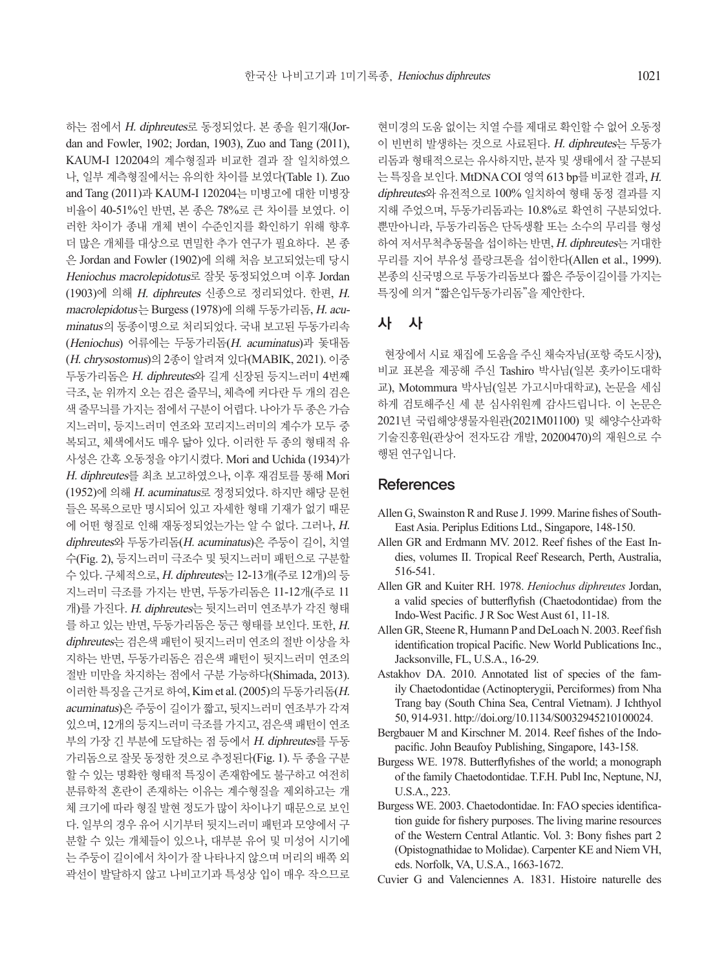하는 점에서 H. diphreutes로 동정되었다. 본 종을 원기재(Jordan and Fowler, 1902; Jordan, 1903), Zuo and Tang (2011), KAUM-I 120204의 계수형질과 비교한 결과 잘 일치하였으 나, 일부 계측형질에서는 유의한 차이를 보였다(Table 1). Zuo and Tang (2011)과 KAUM-I 120204는 미병고에 대한 미병장 비율이 40-51%인 반면, 본 종은 78%로 큰 차이를 보였다. 이 러한 차이가 종내 개체 변이 수준인지를 확인하기 위해 향후 더 많은 개체를 대상으로 면밀한 추가 연구가 필요하다. 본 종 은 Jordan and Fowler (1902)에 의해 처음 보고되었는데 당시 Heniochus macrolepidotus로 잘못 동정되었으며 이후 Jordan (1903)에 의해 H. diphreutes 신종으로 정리되었다. 한편, H. macrolepidotus는 Burgess (1978)에 의해 두동가리돔, H. acuminatus의 동종이명으로 처리되었다. 국내 보고된 두동가리속 (Heniochus) 어류에는 두동가리돔(H. acuminatus)과 돛대돔 (H. chrysostomus)의 2종이 알려져 있다(MABIK, 2021). 이중 두동가리돔은 H. diphreutes와 길게 신장된 등지느러미 4번째 극조, 눈 위까지 오는 검은 줄무늬, 체측에 커다란 두 개의 검은 색 줄무늬를 가지는 점에서 구분이 어렵다. 나아가 두 종은 가슴 지느러미, 등지느러미 연조와 꼬리지느러미의 계수가 모두 중 복되고, 체색에서도 매우 닮아 있다. 이러한 두 종의 형태적 유 사성은 간혹 오동정을 야기시켰다. Mori and Uchida (1934)가 H. diphreutes를 최초 보고하였으나, 이후 재검토를 통해 Mori (1952)에 의해 H. acuminatus로 정정되었다. 하지만 해당 문헌 들은 목록으로만 명시되어 있고 자세한 형태 기재가 없기 때문 에 어떤 형질로 인해 재동정되었는가는 알 수 없다. 그러나, H. diphreutes와 두동가리돔(H. acuminatus)은 주둥이 길이, 치열 수(Fig. 2), 등지느러미 극조수 및 뒷지느러미 패턴으로 구분할 수 있다. 구체적으로, H. diphreutes는 12-13개(주로 12개)의 등 지느러미 극조를 가지는 반면, 두동가리돔은 11-12개(주로 11 개)를 가진다. H. diphreutes는 뒷지느러미 연조부가 각진 형태 를 하고 있는 반면, 두동가리돔은 둥근 형태를 보인다. 또한, H. diphreutes는 검은색 패턴이 뒷지느러미 연조의 절반 이상을 차 지하는 반면, 두동가리돔은 검은색 패턴이 뒷지느러미 연조의 절반 미만을 차지하는 점에서 구분 가능하다(Shimada, 2013). 이러한 특징을 근거로 하여, Kim et al. (2005)의 두동가리돔(H. acuminatus)은 주둥이 길이가 짧고, 뒷지느러미 연조부가 각져 있으며, 12개의 등지느러미 극조를 가지고, 검은색 패턴이 연조 부의 가장 긴 부분에 도달하는 점 등에서 H. diphreutes를 두동 가리돔으로 잘못 동정한 것으로 추정된다(Fig. 1). 두 종을 구분 할 수 있는 명확한 형태적 특징이 존재함에도 불구하고 여전히 분류학적 혼란이 존재하는 이유는 계수형질을 제외하고는 개 체 크기에 따라 형질 발현 정도가 많이 차이나기 때문으로 보인 다. 일부의 경우 유어 시기부터 뒷지느러미 패턴과 모양에서 구 분할 수 있는 개체들이 있으나, 대부분 유어 및 미성어 시기에 는 주둥이 길이에서 차이가 잘 나타나지 않으며 머리의 배쪽 외 곽선이 발달하지 않고 나비고기과 특성상 입이 매우 작으므로

현미경의 도움 없이는 치열 수를 제대로 확인할 수 없어 오동정 이 빈번히 발생하는 것으로 사료된다. H. diphreutes는 두동가 리돔과 형태적으로는 유사하지만, 분자 및 생태에서 잘 구분되 는 특징을 보인다. MtDNA COI 영역 613 bp를 비교한 결과, H. diphreutes와 유전적으로 100% 일치하여 형태 동정 결과를 지 지해 주었으며, 두동가리돔과는 10.8%로 확연히 구분되었다. 뿐만아니라, 두동가리돔은 단독생활 또는 소수의 무리를 형성 하여 저서무척추동물을 섭이하는 반면, H. diphreutes는 거대한 무리를 지어 부유성 플랑크톤을 섭이한다(Allen et al., 1999). 본종의 신국명으로 두동가리돔보다 짧은 주둥이길이를 가지는 특징에 의거 "짧은입두동가리돔"을 제안한다.

## 사 사

현장에서 시료 채집에 도움을 주신 채숙자님(포항 죽도시장), 비교 표본을 제공해 주신 Tashiro 박사님(일본 홋카이도대학 교), Motommura 박사님(일본 가고시마대학교), 논문을 세심 하게 검토해주신 세 분 심사위원께 감사드립니다. 이 논문은 2021년 국립해양생물자원관(2021M01100) 및 해양수산과학 기술진흥원(관상어 전자도감 개발, 20200470)의 재원으로 수 행된 연구입니다.

## References

- Allen G, Swainston R and Ruse J. 1999. Marine fishes of South-East Asia. Periplus Editions Ltd., Singapore, 148-150.
- Allen GR and Erdmann MV. 2012. Reef fishes of the East Indies, volumes II. Tropical Reef Research, Perth, Australia, 516-541.
- Allen GR and Kuiter RH. 1978. *Heniochus diphreutes* Jordan, a valid species of butterflyfish (Chaetodontidae) from the Indo-West Pacific. J R Soc West Aust 61, 11-18.
- Allen GR, Steene R, Humann P and DeLoach N. 2003. Reef fish identification tropical Pacific. New World Publications Inc., Jacksonville, FL, U.S.A., 16-29.
- Astakhov DA. 2010. Annotated list of species of the family Chaetodontidae (Actinopterygii, Perciformes) from Nha Trang bay (South China Sea, Central Vietnam). J Ichthyol 50, 914-931. http://doi.org/10.1134/S0032945210100024.
- Bergbauer M and Kirschner M. 2014. Reef fishes of the Indopacific. John Beaufoy Publishing, Singapore, 143-158.
- Burgess WE. 1978. Butterflyfishes of the world; a monograph of the family Chaetodontidae. T.F.H. Publ Inc, Neptune, NJ, U.S.A., 223.
- Burgess WE. 2003. Chaetodontidae. In: FAO species identification guide for fishery purposes. The living marine resources of the Western Central Atlantic. Vol. 3: Bony fishes part 2 (Opistognathidae to Molidae). Carpenter KE and Niem VH, eds. Norfolk, VA, U.S.A., 1663-1672.
- Cuvier G and Valenciennes A. 1831. Histoire naturelle des